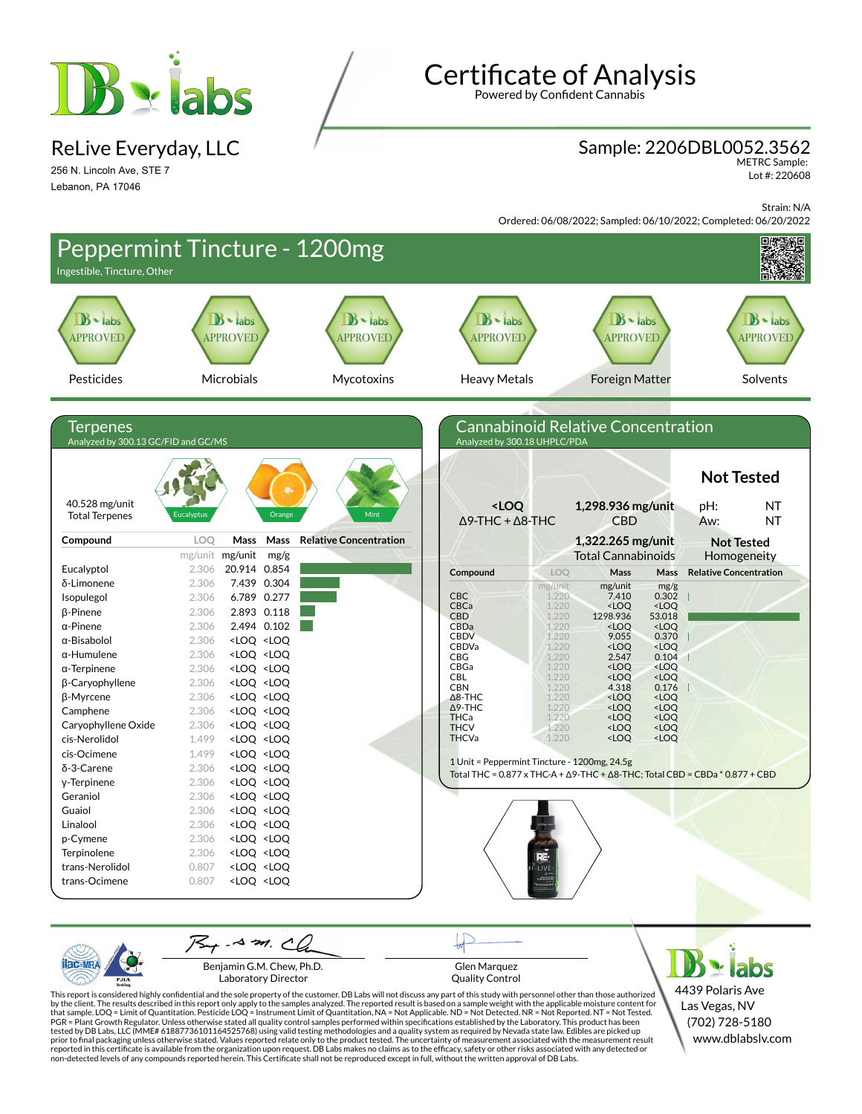

ReLive Everyday, LLC

256 N. Lincoln Ave, STE 7 Lebanon, PA 17046

# **Certificate of Analysis**

Powered by Confident Cannabis

#### Sample: 2206DBL0052.3562

METRC Sample: Lot #: 220608

Strain: N/A

Ordered: 06/08/2022; Sampled: 06/10/2022; Completed: 06/20/2022



Benjamin G.M. Chew, Ph.D. Laboratory Director

PJL/

Glen Marquez Quality Control

4439 Polaris Ave Las Vegas, NV (702) 728-5180 www.dblabslv.com

This report is considered highly confidential and the sole property of the customer. DB Labs will not discuss any part of this study with personnel other than those authorized<br>by the client. The results described in this r tested by DB Labs, LLC (MME# 61887736101164525768) using valid testing methodologies and a quality system as required by Nevada state law. Edibles are picked up<br>prior to final packaging unless otherwise stated. Values repo